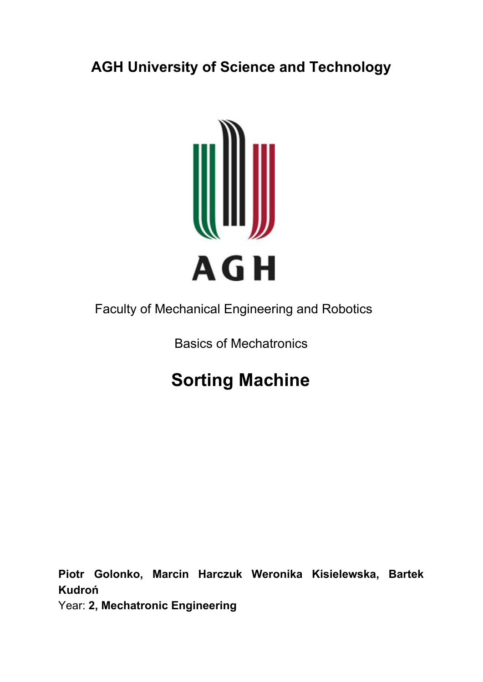## **AGH University of Science and Technology**



## Faculty of Mechanical Engineering and Robotics

### Basics of Mechatronics

# **Sorting Machine**

**Piotr Golonko, Marcin Harczuk Weronika Kisielewska, Bartek Kudroń**

Year: **2, Mechatronic Engineering**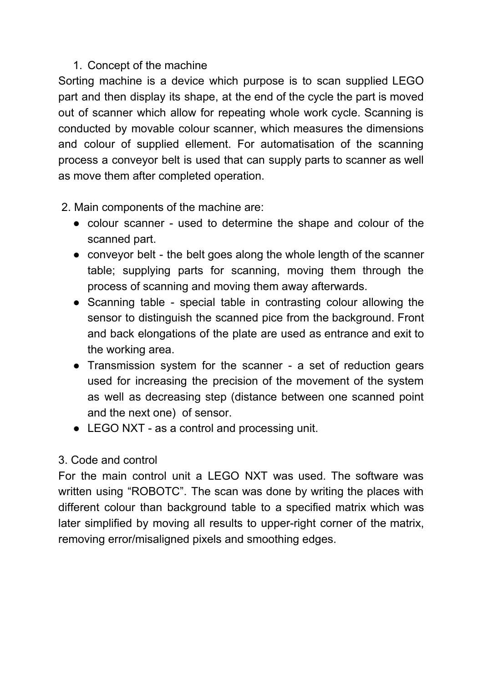#### 1. Concept of the machine

Sorting machine is a device which purpose is to scan supplied LEGO part and then display its shape, at the end of the cycle the part is moved out of scanner which allow for repeating whole work cycle. Scanning is conducted by movable colour scanner, which measures the dimensions and colour of supplied ellement. For automatisation of the scanning process a conveyor belt is used that can supply parts to scanner as well as move them after completed operation.

2. Main components of the machine are:

- colour scanner used to determine the shape and colour of the scanned part.
- conveyor belt the belt goes along the whole length of the scanner table; supplying parts for scanning, moving them through the process of scanning and moving them away afterwards.
- Scanning table special table in contrasting colour allowing the sensor to distinguish the scanned pice from the background. Front and back elongations of the plate are used as entrance and exit to the working area.
- Transmission system for the scanner a set of reduction gears used for increasing the precision of the movement of the system as well as decreasing step (distance between one scanned point and the next one) of sensor.
- LEGO NXT as a control and processing unit.

#### 3. Code and control

For the main control unit a LEGO NXT was used. The software was written using "ROBOTC". The scan was done by writing the places with different colour than background table to a specified matrix which was later simplified by moving all results to upper-right corner of the matrix, removing error/misaligned pixels and smoothing edges.